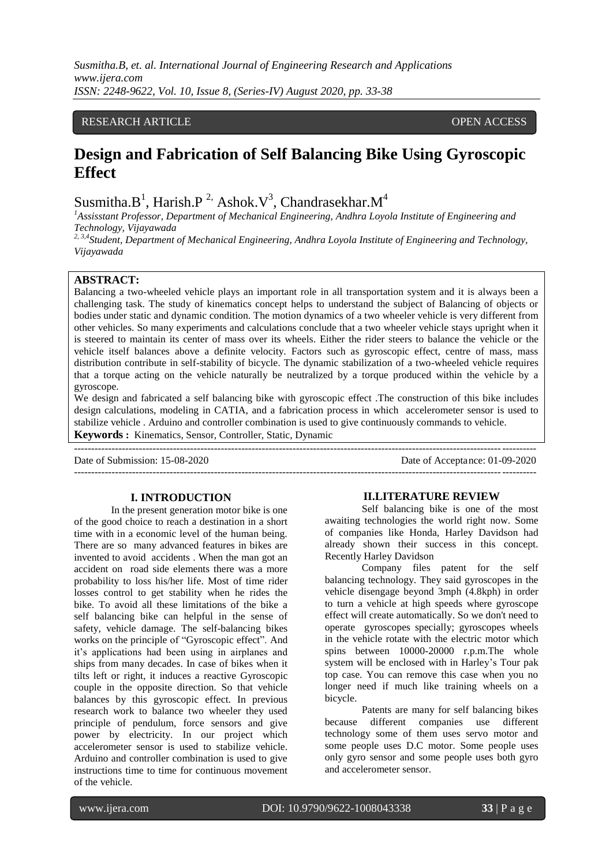# RESEARCH ARTICLE **CONSERVERS** OPEN ACCESS

# **Design and Fabrication of Self Balancing Bike Using Gyroscopic Effect**

Susmitha.B<sup>1</sup>, Harish.P<sup>2,</sup> Ashok.V<sup>3</sup>, Chandrasekhar.M<sup>4</sup>

*<sup>1</sup>Assisstant Professor, Department of Mechanical Engineering, Andhra Loyola Institute of Engineering and Technology, Vijayawada* 

*2, 3,4Student, Department of Mechanical Engineering, Andhra Loyola Institute of Engineering and Technology, Vijayawada* 

# **ABSTRACT:**

Balancing a two-wheeled vehicle plays an important role in all transportation system and it is always been a challenging task. The study of kinematics concept helps to understand the subject of Balancing of objects or bodies under static and dynamic condition. The motion dynamics of a two wheeler vehicle is very different from other vehicles. So many experiments and calculations conclude that a two wheeler vehicle stays upright when it is steered to maintain its center of mass over its wheels. Either the rider steers to balance the vehicle or the vehicle itself balances above a definite velocity. Factors such as gyroscopic effect, centre of mass, mass distribution contribute in self-stability of bicycle. The dynamic stabilization of a two-wheeled vehicle requires that a torque acting on the vehicle naturally be neutralized by a torque produced within the vehicle by a gyroscope.

We design and fabricated a self balancing bike with gyroscopic effect .The construction of this bike includes design calculations, modeling in CATIA, and a fabrication process in which accelerometer sensor is used to stabilize vehicle . Arduino and controller combination is used to give continuously commands to vehicle. **Keywords :** Kinematics, Sensor, Controller, Static, Dynamic

--------------------------------------------------------------------------------------------------------------------------------------- Date of Submission: 15-08-2020 Date of Acceptance: 01-09-2020 ---------------------------------------------------------------------------------------------------------------------------------------

## **I. INTRODUCTION**

In the present generation motor bike is one of the good choice to reach a destination in a short time with in a economic level of the human being. There are so many advanced features in bikes are invented to avoid accidents . When the man got an accident on road side elements there was a more probability to loss his/her life. Most of time rider losses control to get stability when he rides the bike. To avoid all these limitations of the bike a self balancing bike can helpful in the sense of safety, vehicle damage. The self-balancing bikes works on the principle of "Gyroscopic effect". And it's applications had been using in airplanes and ships from many decades. In case of bikes when it tilts left or right, it induces a reactive Gyroscopic couple in the opposite direction. So that vehicle balances by this gyroscopic effect. In previous research work to balance two wheeler they used principle of pendulum, force sensors and give power by electricity. In our project which accelerometer sensor is used to stabilize vehicle. Arduino and controller combination is used to give instructions time to time for continuous movement of the vehicle.

## **II.LITERATURE REVIEW**

Self balancing bike is one of the most awaiting technologies the world right now. Some of companies like Honda, Harley Davidson had already shown their success in this concept. Recently Harley Davidson

Company files patent for the self balancing technology. They said gyroscopes in the vehicle disengage beyond 3mph (4.8kph) in order to turn a vehicle at high speeds where gyroscope effect will create automatically. So we don't need to operate gyroscopes specially; gyroscopes wheels in the vehicle rotate with the electric motor which spins between 10000-20000 r.p.m.The whole system will be enclosed with in Harley's Tour pak top case. You can remove this case when you no longer need if much like training wheels on a bicycle.

Patents are many for self balancing bikes because different companies use different technology some of them uses servo motor and some people uses D.C motor. Some people uses only gyro sensor and some people uses both gyro and accelerometer sensor.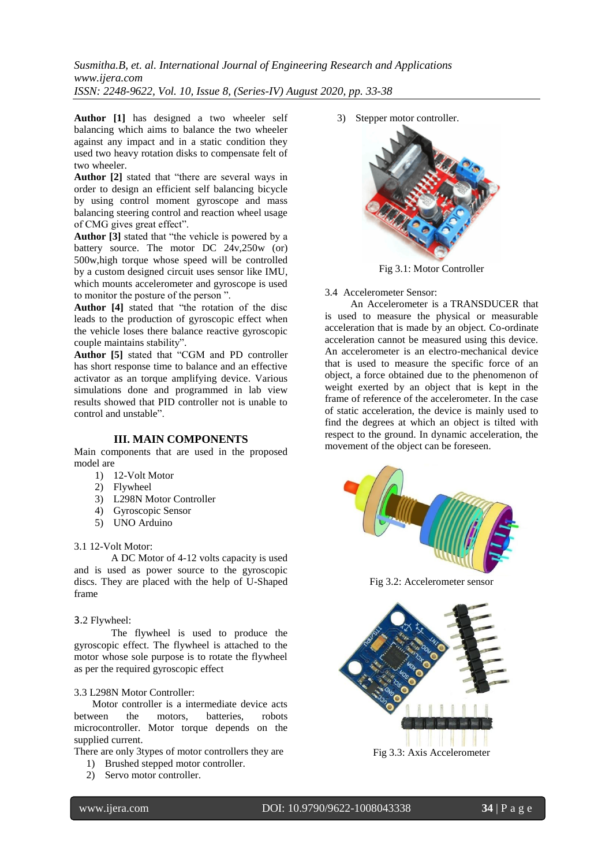*Susmitha.B, et. al. International Journal of Engineering Research and Applications www.ijera.com ISSN: 2248-9622, Vol. 10, Issue 8, (Series-IV) August 2020, pp. 33-38*

**Author [1]** has designed a two wheeler self balancing which aims to balance the two wheeler against any impact and in a static condition they used two heavy rotation disks to compensate felt of two wheeler

**Author [2]** stated that "there are several ways in order to design an efficient self balancing bicycle by using control moment gyroscope and mass balancing steering control and reaction wheel usage of CMG gives great effect".

**Author [3]** stated that "the vehicle is powered by a battery source. The motor DC 24v,250w (or) 500w,high torque whose speed will be controlled by a custom designed circuit uses sensor like IMU, which mounts accelerometer and gyroscope is used to monitor the posture of the person ".

**Author [4]** stated that "the rotation of the disc leads to the production of gyroscopic effect when the vehicle loses there balance reactive gyroscopic couple maintains stability".

**Author [5]** stated that "CGM and PD controller has short response time to balance and an effective activator as an torque amplifying device. Various simulations done and programmed in lab view results showed that PID controller not is unable to control and unstable".

#### **III. MAIN COMPONENTS**

Main components that are used in the proposed model are

- 1) 12-Volt Motor
- 2) Flywheel
- 3) L298N Motor Controller
- 4) Gyroscopic Sensor
- 5) UNO Arduino

#### 3.1 12-Volt Motor:

A DC Motor of 4-12 volts capacity is used and is used as power source to the gyroscopic discs. They are placed with the help of U-Shaped frame

#### 3.2 Flywheel:

The flywheel is used to produce the gyroscopic effect. The flywheel is attached to the motor whose sole purpose is to rotate the flywheel as per the required gyroscopic effect

#### 3.3 L298N Motor Controller:

 Motor controller is a intermediate device acts between the motors, batteries, robots microcontroller. Motor torque depends on the supplied current.

There are only 3types of motor controllers they are

- 1) Brushed stepped motor controller.
- 2) Servo motor controller.

3) Stepper motor controller.



Fig 3.1: Motor Controller

3.4 Accelerometer Sensor:

 An Accelerometer is a TRANSDUCER that is used to measure the physical or measurable acceleration that is made by an object. Co-ordinate acceleration cannot be measured using this device. An accelerometer is an electro-mechanical device that is used to measure the specific force of an object, a force obtained due to the phenomenon of weight exerted by an object that is kept in the frame of reference of the accelerometer. In the case of static acceleration, the device is mainly used to find the degrees at which an object is tilted with respect to the ground. In dynamic acceleration, the movement of the object can be foreseen.



Fig 3.2: Accelerometer sensor

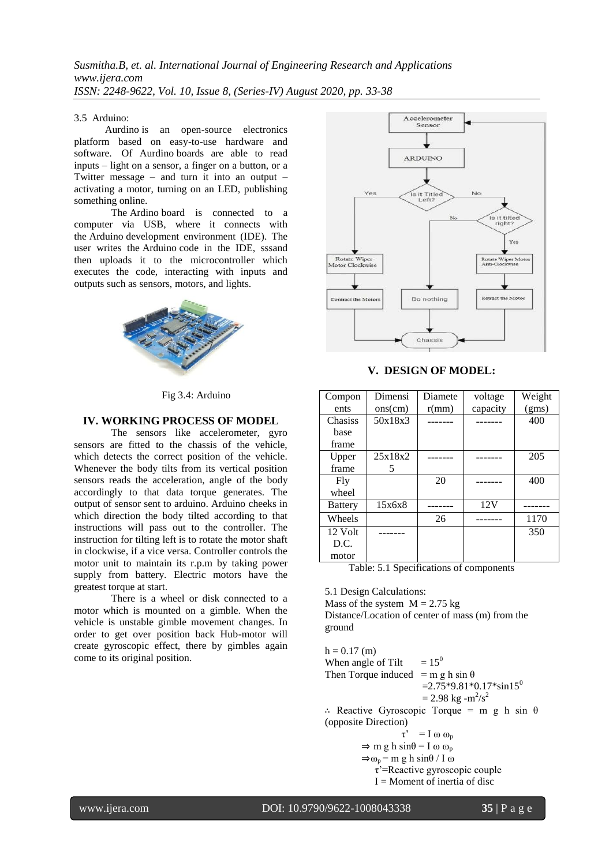## 3.5 Arduino:

Aurdino is an open-source electronics platform based on easy-to-use hardware and software. Of Aurdino boards are able to read inputs – light on a sensor, a finger on a button, or a Twitter message – and turn it into an output – activating a motor, turning on an LED, publishing something online.

The Ardino board is connected to a computer via USB, where it connects with the Arduino development environment (IDE). The user writes the Arduino code in the IDE, sssand then uploads it to the microcontroller which executes the code, interacting with inputs and outputs such as sensors, motors, and lights.



Fig 3.4: Arduino

# **IV. WORKING PROCESS OF MODEL**

The sensors like accelerometer, gyro sensors are fitted to the chassis of the vehicle, which detects the correct position of the vehicle. Whenever the body tilts from its vertical position sensors reads the acceleration, angle of the body accordingly to that data torque generates. The output of sensor sent to arduino. Arduino cheeks in which direction the body tilted according to that instructions will pass out to the controller. The instruction for tilting left is to rotate the motor shaft in clockwise, if a vice versa. Controller controls the motor unit to maintain its r.p.m by taking power supply from battery. Electric motors have the greatest torque at start.

There is a wheel or disk connected to a motor which is mounted on a gimble. When the vehicle is unstable gimble movement changes. In order to get over position back Hub-motor will create gyroscopic effect, there by gimbles again come to its original position.



**V. DESIGN OF MODEL:**

| Compon         | Dimensi | Diamete | voltage  | Weight |
|----------------|---------|---------|----------|--------|
| ents           | ons(cm) | r(mm)   | capacity | (gms)  |
| <b>Chasiss</b> | 50x18x3 |         |          | 400    |
| base           |         |         |          |        |
| frame          |         |         |          |        |
| Upper          | 25x18x2 |         |          | 205    |
| frame          | 5       |         |          |        |
| Fly            |         | 20      |          | 400    |
| wheel          |         |         |          |        |
| <b>Battery</b> | 15x6x8  |         | 12V      |        |
| Wheels         |         | 26      |          | 1170   |
| 12 Volt        |         |         |          | 350    |
| D.C.           |         |         |          |        |
| motor          |         |         |          |        |

Table: 5.1 Specifications of components

5.1 Design Calculations:

Mass of the system  $M = 2.75$  kg Distance/Location of center of mass (m) from the ground

 $h = 0.17$  (m) When angle of Tilt  $= 15^0$ Then Torque induced = m g h sin  $\theta$  $=2.75*9.81*0.17*sin15^{0}$  $= 2.98 \text{ kg} - m^2/s^2$ ∴ Reactive Gyroscopic Torque = m g h sin θ (opposite Direction)  $\tau' = I \omega \omega_p$  $\Rightarrow$  m g h sin $\theta$  = I  $\omega$   $\omega_p$  $\Rightarrow \omega_p = m g h \sin\theta / I \omega$ τ'=Reactive gyroscopic couple

 $I =$ Moment of inertia of disc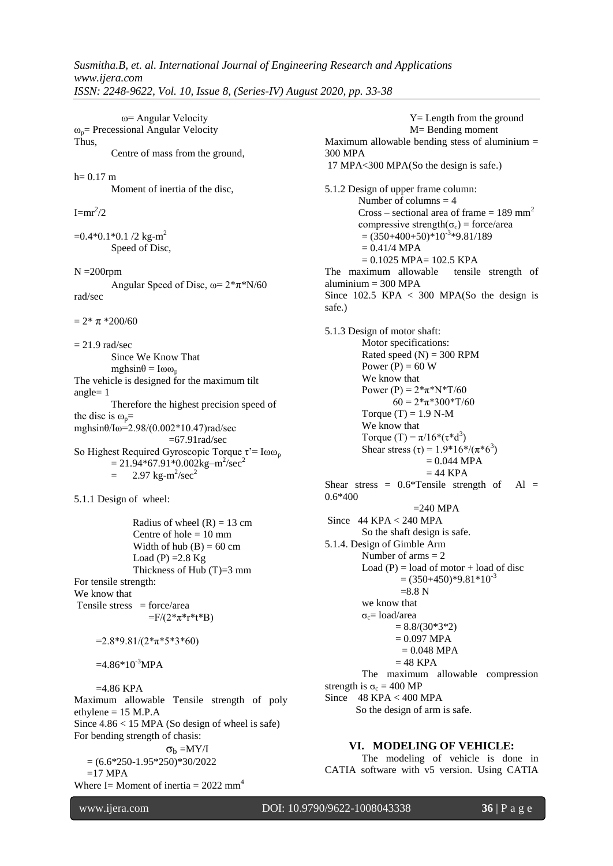ω= Angular Velocity  $\omega_p$ = Precessional Angular Velocity Thus, Centre of mass from the ground,  $h= 0.17$  m Moment of inertia of the disc,  $I=mr^2/2$  $=0.4*0.1*0.1/2$  kg-m<sup>2</sup> Speed of Disc,  $N = 200$ rpm Angular Speed of Disc,  $\omega = 2*\pi*N/60$ rad/sec  $= 2* \pi *200/60$  $= 21.9$  rad/sec Since We Know That  $mgh\sin\theta = I\omega\omega_p$ The vehicle is designed for the maximum tilt angle= 1 Therefore the highest precision speed of the disc is  $\omega_p$ = mghsinθ/Iω=2.98/(0.002\*10.47)rad/sec  $=67.91$ rad/sec So Highest Required Gyroscopic Torque τ'=  $I$ ωω<sub>p</sub>  $= 21.94*67.91*0.002kg-m^2/sec^2$  $= 2.97 \text{ kg} \cdot \text{m}^2/\text{sec}^2$ 5.1.1 Design of wheel: Radius of wheel  $(R) = 13$  cm Centre of hole  $= 10$  mm Width of hub  $(B) = 60$  cm Load (P) =  $2.8$  Kg Thickness of Hub (T)=3 mm For tensile strength: We know that Tensile stress  $=$  force/area  $=F/(2*\pi* r*t*B)$  $=2.8*9.81/(2*_{\pi}*5*3*60)$  $=4.86*10^{-3}MPA$  $=4.86$  KPA Maximum allowable Tensile strength of poly ethylene = 15 M.P.A Since  $4.86 < 15$  MPA (So design of wheel is safe) For bending strength of chasis:  $\sigma_{\rm b} = MY/I$  $= (6.6*250-1.95*250)*30/2022$  $=17$  MPA Where I= Moment of inertia =  $2022 \text{ mm}^4$  Y= Length from the ground M= Bending moment Maximum allowable bending stess of aluminium  $=$ 300 MPA 17 MPA<300 MPA(So the design is safe.) 5.1.2 Design of upper frame column: Number of columns  $= 4$ Cross – sectional area of frame  $= 189$  mm<sup>2</sup> compressive strength( $\sigma_c$ ) = force/area  $= (350+400+50)*10^{-3}*9.81/189$  $= 0.41/4$  MPA  $= 0.1025$  MPA $= 102.5$  KPA The maximum allowable tensile strength of  $aluminium = 300 MPA$ Since  $102.5$  KPA  $\lt$  300 MPA(So the design is safe.) 5.1.3 Design of motor shaft: Motor specifications: Rated speed  $(N) = 300$  RPM Power  $(P) = 60$  W We know that Power (P) =  $2*\pi*N*T/60$  $60 = 2*\pi*300*\text{T}/60$ Torque  $(T) = 1.9$  N-M We know that Torque (T) =  $\pi/16*(\tau^*d^3)$ Shear stress  $(\tau) = 1.9 * 16 * / (\pi * 6^3)$  $= 0.044$  MPA  $= 44$  KPA Shear stress =  $0.6*$ Tensile strength of Al = 0.6\*400  $=240$  MPA Since  $44$  KPA  $< 240$  MPA So the shaft design is safe. 5.1.4. Design of Gimble Arm Number of arms  $= 2$ Load  $(P)$  = load of motor + load of disc  $=(350+450)*9.81*10^{-3}$  $=8.8 N$ we know that  $σ<sub>c</sub>=$  load/area  $= 8.8/(30*3*2)$  $= 0.097$  MPA  $= 0.048$  MPA  $= 48$  KPA The maximum allowable compression strength is  $\sigma_c = 400 \text{ MP}$ Since 48 KPA < 400 MPA So the design of arm is safe. **VI. MODELING OF VEHICLE:** The modeling of vehicle is done in CATIA software with v5 version. Using CATIA

www.ijera.com DOI: 10.9790/9622-1008043338 **36** | P a g e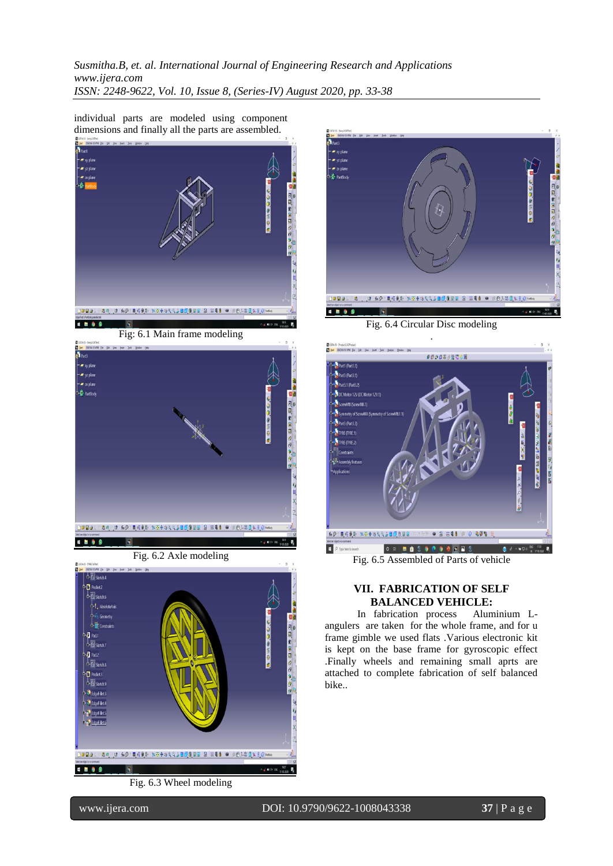*Susmitha.B, et. al. International Journal of Engineering Research and Applications www.ijera.com ISSN: 2248-9622, Vol. 10, Issue 8, (Series-IV) August 2020, pp. 33-38*

individual parts are modeled using component dimensions and finally all the parts are assembled.







Fig. 6.2 Axle modeling









Fig. 6.4 Circular Disc modeling



Fig. 6.5 Assembled of Parts of vehicle

# **VII. FABRICATION OF SELF BALANCED VEHICLE:**

In fabrication process Aluminium Langulers are taken for the whole frame, and for u frame gimble we used flats .Various electronic kit is kept on the base frame for gyroscopic effect .Finally wheels and remaining small aprts are attached to complete fabrication of self balanced bike..